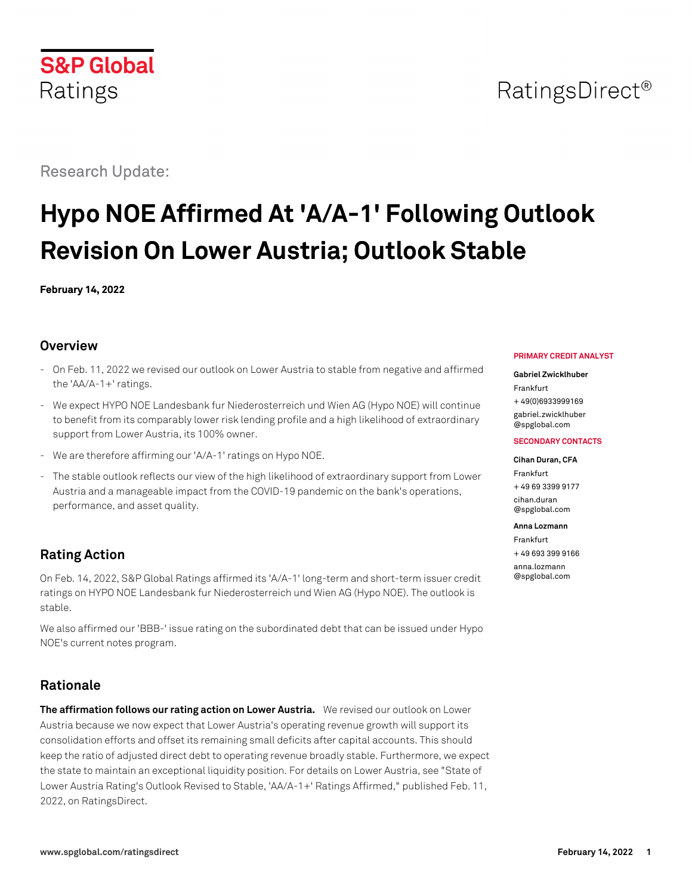## RatingsDirect<sup>®</sup>

Research Update:

**S&P Global** 

Ratings

# **Hypo NOE Affirmed At 'A/A-1' Following Outlook Revision On Lower Austria; Outlook Stable**

**February 14, 2022**

## **Overview**

- On Feb. 11, 2022 we revised our outlook on Lower Austria to stable from negative and affirmed the 'AA/A-1+' ratings.
- We expect HYPO NOE Landesbank fur Niederosterreich und Wien AG (Hypo NOE) will continue to benefit from its comparably lower risk lending profile and a high likelihood of extraordinary support from Lower Austria, its 100% owner.
- We are therefore affirming our 'A/A-1' ratings on Hypo NOE.
- The stable outlook reflects our view of the high likelihood of extraordinary support from Lower Austria and a manageable impact from the COVID-19 pandemic on the bank's operations, performance, and asset quality.

## **Rating Action**

On Feb. 14, 2022, S&P Global Ratings affirmed its 'A/A-1' long-term and short-term issuer credit ratings on HYPO NOE Landesbank fur Niederosterreich und Wien AG (Hypo NOE). The outlook is stable.

We also affirmed our 'BBB-' issue rating on the subordinated debt that can be issued under Hypo NOE's current notes program.

## **Rationale**

**The affirmation follows our rating action on Lower Austria.** We revised our outlook on Lower Austria because we now expect that Lower Austria's operating revenue growth will support its consolidation efforts and offset its remaining small deficits after capital accounts. This should keep the ratio of adjusted direct debt to operating revenue broadly stable. Furthermore, we expect the state to maintain an exceptional liquidity position. For details on Lower Austria, see "State of Lower Austria Rating's Outlook Revised to Stable, 'AA/A-1+' Ratings Affirmed," published Feb. 11, 2022, on RatingsDirect.

#### **PRIMARY CREDIT ANALYST**

#### **Gabriel Zwicklhuber**

Frankfurt + 49(0)6933999169 [gabriel.zwicklhuber](mailto:gabriel.zwicklhuber@spglobal.com)

[@spglobal.com](mailto:gabriel.zwicklhuber@spglobal.com)

#### **SECONDARY CONTACTS**

#### **Cihan Duran, CFA**

Frankfurt + 49 69 3399 9177 [cihan.duran](mailto:cihan.duran@spglobal.com) [@spglobal.com](mailto:cihan.duran@spglobal.com)

#### **Anna Lozmann**

Frankfurt + 49 693 399 9166 [anna.lozmann](mailto:anna.lozmann@spglobal.com) [@spglobal.com](mailto:anna.lozmann@spglobal.com)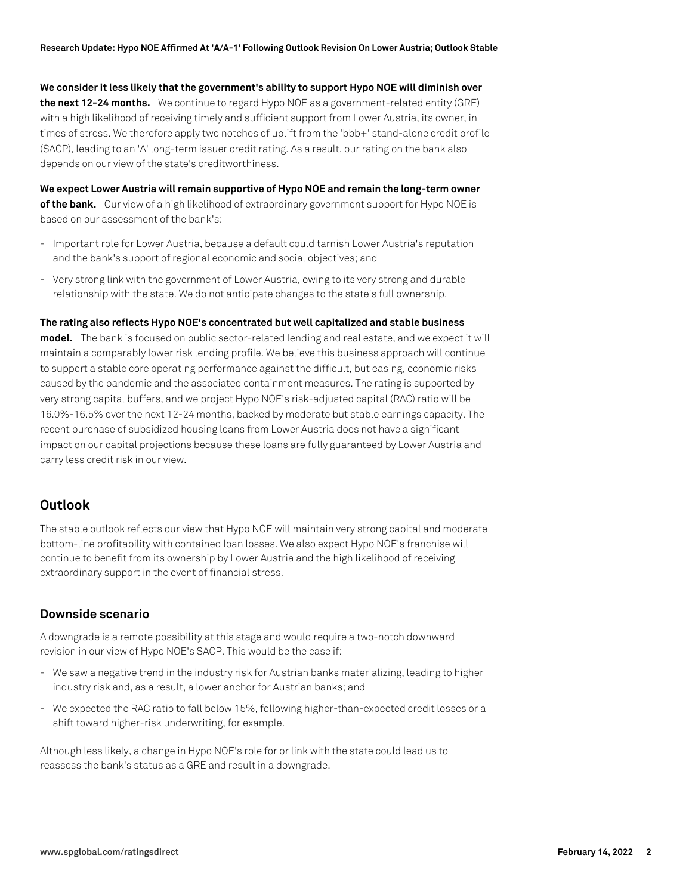**We consider it less likely that the government's ability to support Hypo NOE will diminish over the next 12-24 months.** We continue to regard Hypo NOE as a government-related entity (GRE) with a high likelihood of receiving timely and sufficient support from Lower Austria, its owner, in times of stress. We therefore apply two notches of uplift from the 'bbb+' stand-alone credit profile (SACP), leading to an 'A' long-term issuer credit rating. As a result, our rating on the bank also depends on our view of the state's creditworthiness.

**We expect Lower Austria will remain supportive of Hypo NOE and remain the long-term owner of the bank.** Our view of a high likelihood of extraordinary government support for Hypo NOE is based on our assessment of the bank's:

- Important role for Lower Austria, because a default could tarnish Lower Austria's reputation and the bank's support of regional economic and social objectives; and
- Very strong link with the government of Lower Austria, owing to its very strong and durable relationship with the state. We do not anticipate changes to the state's full ownership.

#### **The rating also reflects Hypo NOE's concentrated but well capitalized and stable business**

**model.** The bank is focused on public sector-related lending and real estate, and we expect it will maintain a comparably lower risk lending profile. We believe this business approach will continue to support a stable core operating performance against the difficult, but easing, economic risks caused by the pandemic and the associated containment measures. The rating is supported by very strong capital buffers, and we project Hypo NOE's risk-adjusted capital (RAC) ratio will be 16.0%-16.5% over the next 12-24 months, backed by moderate but stable earnings capacity. The recent purchase of subsidized housing loans from Lower Austria does not have a significant impact on our capital projections because these loans are fully guaranteed by Lower Austria and carry less credit risk in our view.

## **Outlook**

The stable outlook reflects our view that Hypo NOE will maintain very strong capital and moderate bottom-line profitability with contained loan losses. We also expect Hypo NOE's franchise will continue to benefit from its ownership by Lower Austria and the high likelihood of receiving extraordinary support in the event of financial stress.

## **Downside scenario**

A downgrade is a remote possibility at this stage and would require a two-notch downward revision in our view of Hypo NOE's SACP. This would be the case if:

- We saw a negative trend in the industry risk for Austrian banks materializing, leading to higher industry risk and, as a result, a lower anchor for Austrian banks; and
- We expected the RAC ratio to fall below 15%, following higher-than-expected credit losses or a shift toward higher-risk underwriting, for example.

Although less likely, a change in Hypo NOE's role for or link with the state could lead us to reassess the bank's status as a GRE and result in a downgrade.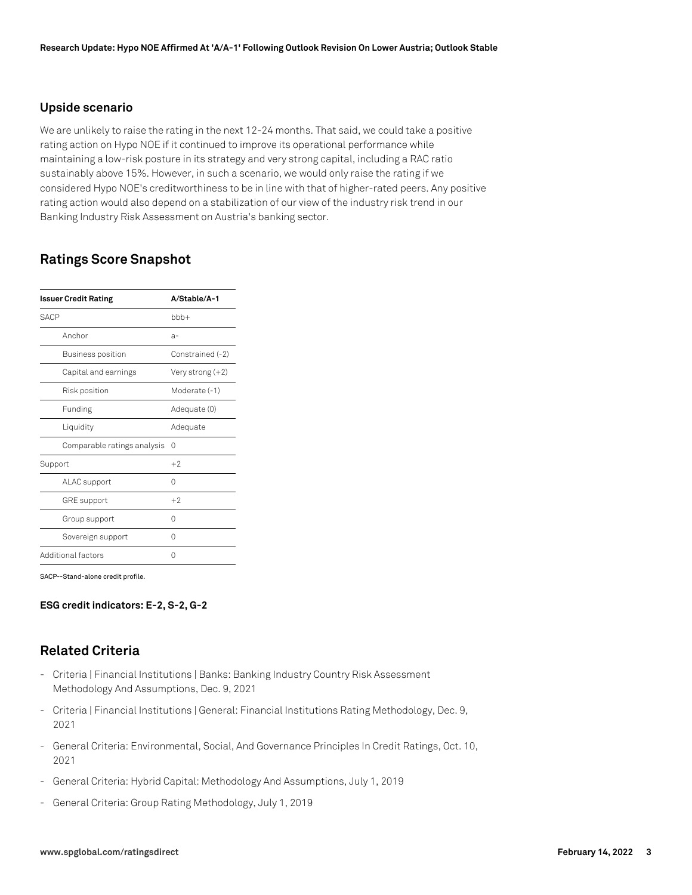#### **Upside scenario**

We are unlikely to raise the rating in the next 12-24 months. That said, we could take a positive rating action on Hypo NOE if it continued to improve its operational performance while maintaining a low-risk posture in its strategy and very strong capital, including a RAC ratio sustainably above 15%. However, in such a scenario, we would only raise the rating if we considered Hypo NOE's creditworthiness to be in line with that of higher-rated peers. Any positive rating action would also depend on a stabilization of our view of the industry risk trend in our Banking Industry Risk Assessment on Austria's banking sector.

## **Ratings Score Snapshot**

| <b>Issuer Credit Rating</b> | A/Stable/A-1     |
|-----------------------------|------------------|
| <b>SACP</b>                 | $bbb +$          |
| Anchor                      | $a-$             |
| Business position           | Constrained (-2) |
| Capital and earnings        | Very strong (+2) |
| Risk position               | Moderate (-1)    |
| Funding                     | Adequate (0)     |
| Liquidity                   | Adequate         |
| Comparable ratings analysis | 0                |
| Support                     | $+2$             |
| ALAC support                | Ω                |
| <b>GRE</b> support          | $+2$             |
| Group support               | 0                |
| Sovereign support           | Ω                |
| Additional factors          | Ω                |

SACP--Stand-alone credit profile.

#### **ESG credit indicators: E-2, S-2, G-2**

## **Related Criteria**

- Criteria | Financial Institutions | Banks: Banking Industry Country Risk Assessment Methodology And Assumptions, Dec. 9, 2021
- Criteria | Financial Institutions | General: Financial Institutions Rating Methodology, Dec. 9, 2021
- General Criteria: Environmental, Social, And Governance Principles In Credit Ratings, Oct. 10, 2021
- General Criteria: Hybrid Capital: Methodology And Assumptions, July 1, 2019
- General Criteria: Group Rating Methodology, July 1, 2019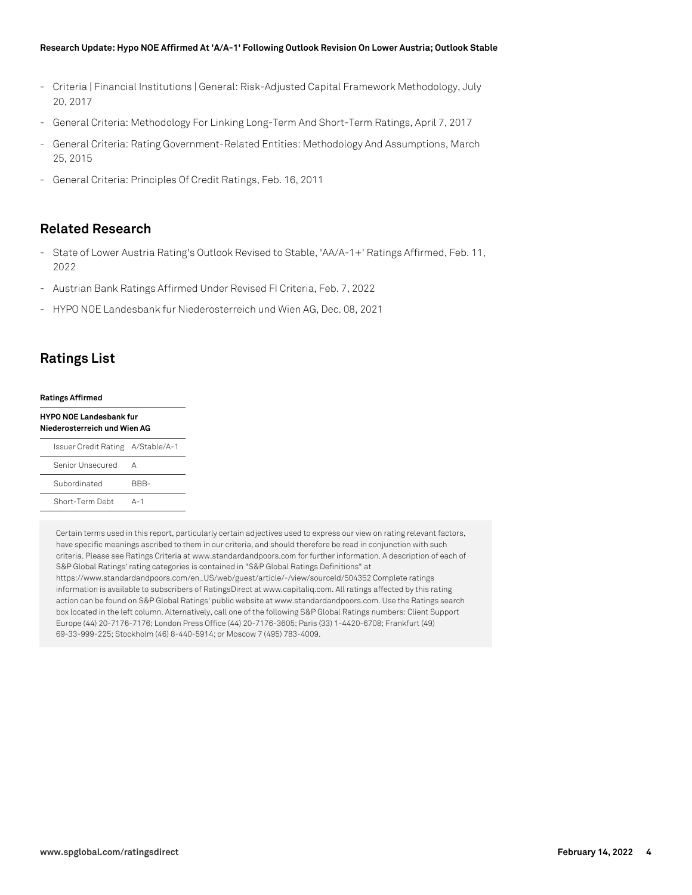#### **Research Update: Hypo NOE Affirmed At 'A/A-1' Following Outlook Revision On Lower Austria; Outlook Stable**

- Criteria | Financial Institutions | General: Risk-Adjusted Capital Framework Methodology, July 20, 2017
- General Criteria: Methodology For Linking Long-Term And Short-Term Ratings, April 7, 2017
- General Criteria: Rating Government-Related Entities: Methodology And Assumptions, March 25, 2015
- General Criteria: Principles Of Credit Ratings, Feb. 16, 2011

## **Related Research**

- State of Lower Austria Rating's Outlook Revised to Stable, 'AA/A-1+' Ratings Affirmed, Feb. 11, 2022
- Austrian Bank Ratings Affirmed Under Revised FI Criteria, Feb. 7, 2022
- HYPO NOE Landesbank fur Niederosterreich und Wien AG, Dec. 08, 2021

## **Ratings List**

#### **Ratings Affirmed**

| <b>HYPO NOE Landesbank fur</b><br>Niederosterreich und Wien AG |      |
|----------------------------------------------------------------|------|
| Issuer Credit Rating A/Stable/A-1                              |      |
| Senior Unsecured                                               | Δ    |
| Subordinated                                                   | RRR- |

Short-Term Debt A-1

Certain terms used in this report, particularly certain adjectives used to express our view on rating relevant factors, have specific meanings ascribed to them in our criteria, and should therefore be read in conjunction with such criteria. Please see Ratings Criteria at www.standardandpoors.com for further information. A description of each of S&P Global Ratings' rating categories is contained in "S&P Global Ratings Definitions" at https://www.standardandpoors.com/en\_US/web/guest/article/-/view/sourceId/504352 Complete ratings information is available to subscribers of RatingsDirect at www.capitaliq.com. All ratings affected by this rating action can be found on S&P Global Ratings' public website at www.standardandpoors.com. Use the Ratings search box located in the left column. Alternatively, call one of the following S&P Global Ratings numbers: Client Support Europe (44) 20-7176-7176; London Press Office (44) 20-7176-3605; Paris (33) 1-4420-6708; Frankfurt (49) 69-33-999-225; Stockholm (46) 8-440-5914; or Moscow 7 (495) 783-4009.